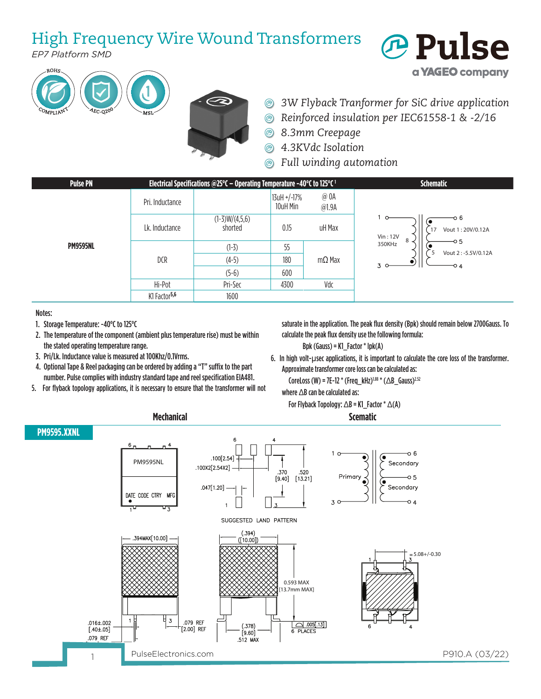## High Frequency Wire Wound Transformers

*EP7 Platform SMD*





*3W Flyback Tranformer for SiC drive application*  $\circledcirc$ 

*<b>Pulse* 

a **YAGEO** company

- *Reinforced insulation per IEC61558-1 & -2/16*  $^{\circledR}$
- $\circledcirc$ *8.3mm Creepage*
- *4.3KVdc Isolation*  $\circledR$
- *Full winding automation*



**Mechanical Scematic**

Notes:

- 1. Storage Temperature: -40°C to 125°C
- 2. The temperature of the component (ambient plus temperature rise) must be within the stated operating temperature range.
- 3. Pri/Lk. Inductance value is measured at 100Khz/0.1Vrms.
- 4. Optional Tape & Reel packaging can be ordered by adding a "T" suffix to the part number. Pulse complies with industry standard tape and reel specification EIA481.
- 5. For flyback topology applications, it is necessary to ensure that the transformer will not

saturate in the application. The peak flux density (Bpk) should remain below 2700Gauss. To calculate the peak flux density use the following formula:

- Bpk (Gauss) = K1\_Factor \* Ipk(A)
- 6. In high volt-µsec applications, it is important to calculate the core loss of the transformer. Approximate transformer core loss can be calculated as:

CoreLoss (W) = 7E-12 \* (Freq\_kHz)<sup>1.88</sup> \* (△B\_Gauss)<sup>2.52</sup>

For Flyback Topology: ∆B = K1\_Factor \* ∆(A)

where ∆B can be calculated as: